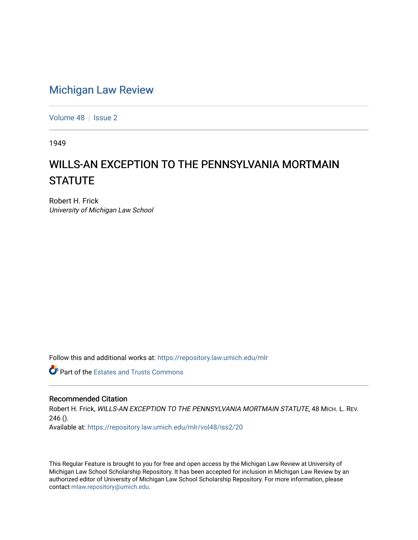## [Michigan Law Review](https://repository.law.umich.edu/mlr)

[Volume 48](https://repository.law.umich.edu/mlr/vol48) | [Issue 2](https://repository.law.umich.edu/mlr/vol48/iss2)

1949

## WILLS-AN EXCEPTION TO THE PENNSYLVANIA MORTMAIN **STATUTE**

Robert H. Frick University of Michigan Law School

Follow this and additional works at: [https://repository.law.umich.edu/mlr](https://repository.law.umich.edu/mlr?utm_source=repository.law.umich.edu%2Fmlr%2Fvol48%2Fiss2%2F20&utm_medium=PDF&utm_campaign=PDFCoverPages) 

**Part of the Estates and Trusts Commons** 

## Recommended Citation

Robert H. Frick, WILLS-AN EXCEPTION TO THE PENNSYLVANIA MORTMAIN STATUTE, 48 MICH. L. REV.  $246()$ . Available at: [https://repository.law.umich.edu/mlr/vol48/iss2/20](https://repository.law.umich.edu/mlr/vol48/iss2/20?utm_source=repository.law.umich.edu%2Fmlr%2Fvol48%2Fiss2%2F20&utm_medium=PDF&utm_campaign=PDFCoverPages) 

This Regular Feature is brought to you for free and open access by the Michigan Law Review at University of Michigan Law School Scholarship Repository. It has been accepted for inclusion in Michigan Law Review by an authorized editor of University of Michigan Law School Scholarship Repository. For more information, please contact [mlaw.repository@umich.edu](mailto:mlaw.repository@umich.edu).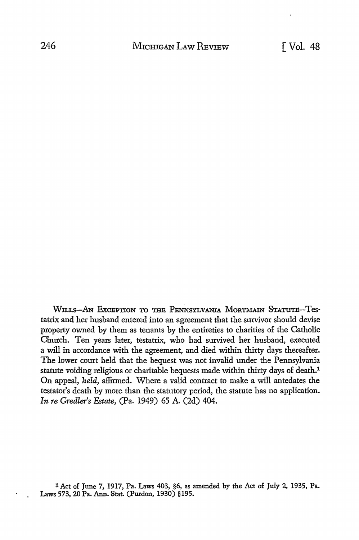WILLS-AN EXCEPTION TO THE PENNSYLVANIA MORTMAIN STATUTE-Testatrix and her husband entered into an agreement that the survivor should devise property owned by them as tenants by the entireties to charities of the Catholic Church. Ten years later, testatrix, who had survived her husband, executed a will in accordance with the agreement, and died within thirty days thereafter. The lower court held that the bequest was not invalid under the Pennsylvania statute voiding religious or charitable bequests made within thirty days of death.<sup>1</sup> On appeal, *held,* affirmed. Where a valid contract to make a will antedates the testator's death by more than the statutory period, the statute has no application. *In re Gredler's Estate,* (Pa. 1949) 65 A. (2d) 404.

lAct of June 7, 1917, Pa. Laws 403, §6, as amended by the Act of July 2, 1935, Pa. Laws 573, 20 Pa. Ann. Stat. (Purdon, 1930) §195.